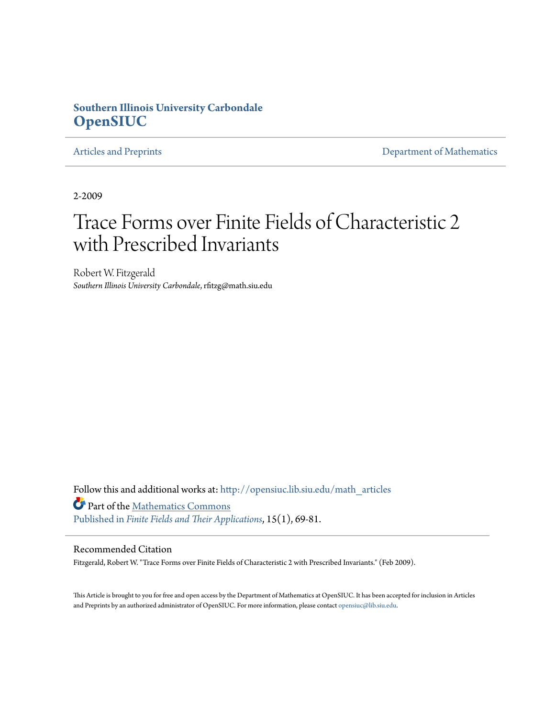#### **Southern Illinois University Carbondale [OpenSIUC](http://opensiuc.lib.siu.edu?utm_source=opensiuc.lib.siu.edu%2Fmath_articles%2F16&utm_medium=PDF&utm_campaign=PDFCoverPages)**

[Articles and Preprints](http://opensiuc.lib.siu.edu/math_articles?utm_source=opensiuc.lib.siu.edu%2Fmath_articles%2F16&utm_medium=PDF&utm_campaign=PDFCoverPages) **[Department of Mathematics](http://opensiuc.lib.siu.edu/math?utm_source=opensiuc.lib.siu.edu%2Fmath_articles%2F16&utm_medium=PDF&utm_campaign=PDFCoverPages)** 

2-2009

# Trace Forms over Finite Fields of Characteristic 2 with Prescribed Invariants

Robert W. Fitzgerald *Southern Illinois University Carbondale*, rfitzg@math.siu.edu

Follow this and additional works at: [http://opensiuc.lib.siu.edu/math\\_articles](http://opensiuc.lib.siu.edu/math_articles?utm_source=opensiuc.lib.siu.edu%2Fmath_articles%2F16&utm_medium=PDF&utm_campaign=PDFCoverPages) Part of the [Mathematics Commons](http://network.bepress.com/hgg/discipline/174?utm_source=opensiuc.lib.siu.edu%2Fmath_articles%2F16&utm_medium=PDF&utm_campaign=PDFCoverPages) [Published in](http://dx.doi.org/10.1016/j.ffa.2008.08.002) *[Finite Fields and Their Applications](http://www.elsevier.com/wps/find/journaldescription.cws_home/622831/description#description)*, 15(1), 69-81.

#### Recommended Citation

Fitzgerald, Robert W. "Trace Forms over Finite Fields of Characteristic 2 with Prescribed Invariants." (Feb 2009).

This Article is brought to you for free and open access by the Department of Mathematics at OpenSIUC. It has been accepted for inclusion in Articles and Preprints by an authorized administrator of OpenSIUC. For more information, please contact [opensiuc@lib.siu.edu](mailto:opensiuc@lib.siu.edu).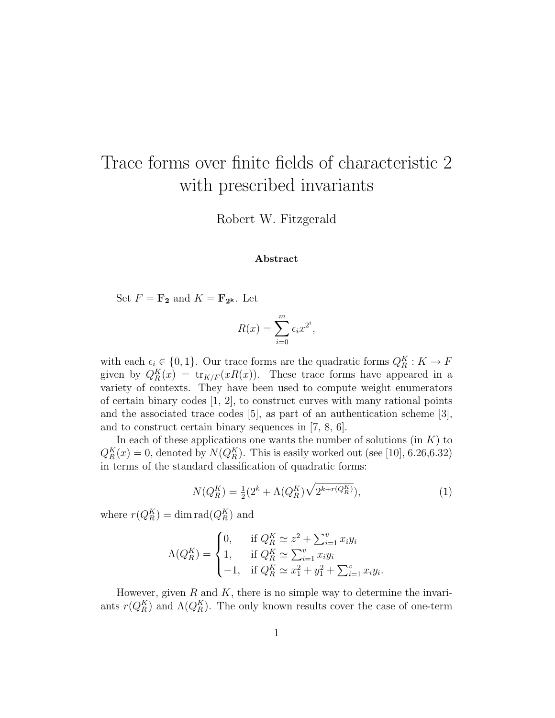## Trace forms over finite fields of characteristic 2 with prescribed invariants

Robert W. Fitzgerald

#### Abstract

Set  $F = \mathbf{F_2}$  and  $K = \mathbf{F_{2^k}}$ . Let

$$
R(x) = \sum_{i=0}^{m} \epsilon_i x^{2^i},
$$

with each  $\epsilon_i \in \{0, 1\}$ . Our trace forms are the quadratic forms  $Q_R^K : K \to F$ given by  $Q_R^K(x) = \text{tr}_{K/F}(xR(x))$ . These trace forms have appeared in a variety of contexts. They have been used to compute weight enumerators of certain binary codes [1, 2], to construct curves with many rational points and the associated trace codes [5], as part of an authentication scheme [3], and to construct certain binary sequences in [7, 8, 6].

In each of these applications one wants the number of solutions (in  $K$ ) to  $Q_R^K(x) = 0$ , denoted by  $N(Q_R^K)$ . This is easily worked out (see [10], 6.26,6.32) in terms of the standard classification of quadratic forms:

$$
N(Q_R^K) = \frac{1}{2}(2^k + \Lambda(Q_R^K)\sqrt{2^{k+r(Q_R^K)}}),
$$
\n(1)

where  $r(Q_R^K) = \dim \operatorname{rad}(Q_R^K)$  and

$$
\Lambda(Q_R^K) = \begin{cases} 0, & \text{if } Q_R^K \simeq z^2 + \sum_{i=1}^v x_i y_i \\ 1, & \text{if } Q_R^K \simeq \sum_{i=1}^v x_i y_i \\ -1, & \text{if } Q_R^K \simeq x_1^2 + y_1^2 + \sum_{i=1}^v x_i y_i. \end{cases}
$$

However, given  $R$  and  $K$ , there is no simple way to determine the invariants  $r(Q_R^K)$  and  $\Lambda(Q_R^K)$ . The only known results cover the case of one-term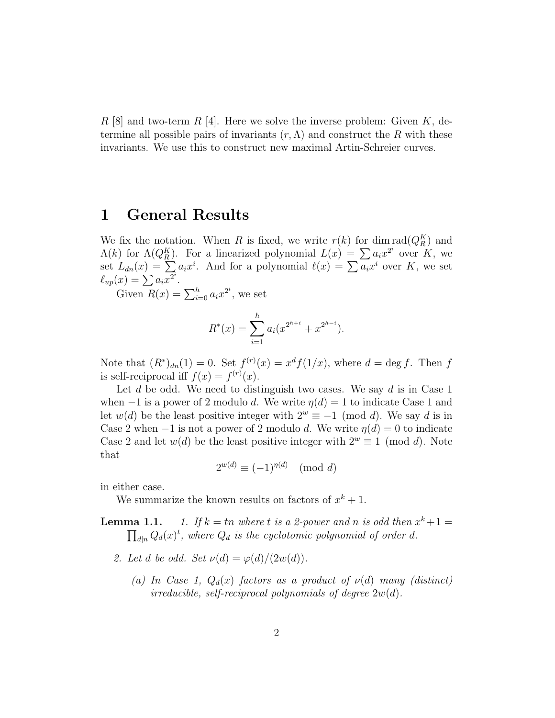R [8] and two-term R [4]. Here we solve the inverse problem: Given  $K$ , determine all possible pairs of invariants  $(r, \Lambda)$  and construct the R with these invariants. We use this to construct new maximal Artin-Schreier curves.

### 1 General Results

We fix the notation. When R is fixed, we write  $r(k)$  for dim  $\text{rad}(Q_R^K)$  and We fix the notation. When *R* is fixed, we write  $r(k)$  for difficulties  $\Lambda(k)$  for  $\Lambda(Q_K^K)$ . For a linearized polynomial  $L(x) = \sum a_i x^{2^i}$  over *K*, we set  $L_{dn}(x) = \sum a_i x^i$ . And for a polynomial  $\ell(x) = \sum a_i x^i$  over *K*, w set  $L_{dn}(x) = \sum a_i x^2$ .<br>  $\ell_{up}(x) = \sum a_i x^2$ .<br>
Given  $R(x) = \sum_{i=0}^h a_i x^2$ , we set

$$
R^*(x) = \sum_{i=1}^h a_i (x^{2^{h+i}} + x^{2^{h-i}}).
$$

Note that  $(R^*)_{dn}(1) = 0$ . Set  $f^{(r)}(x) = x^d f(1/x)$ , where  $d = \deg f$ . Then f is self-reciprocal iff  $f(x) = f^{(r)}(x)$ .

Let d be odd. We need to distinguish two cases. We say d is in Case 1 when  $-1$  is a power of 2 modulo d. We write  $\eta(d) = 1$  to indicate Case 1 and let  $w(d)$  be the least positive integer with  $2^w \equiv -1 \pmod{d}$ . We say d is in Case 2 when  $-1$  is not a power of 2 modulo d. We write  $\eta(d) = 0$  to indicate Case 2 and let  $w(d)$  be the least positive integer with  $2^w \equiv 1 \pmod{d}$ . Note that

$$
2^{w(d)} \equiv (-1)^{\eta(d)} \pmod{d}
$$

in either case.

We summarize the known results on factors of  $x^k + 1$ .

**Lemma 1.1.** 1. If  $k = tn$  where t is a 2-power and n is odd then  $x^{k} + 1 =$ Lemma 1.1.  $d_{d|n} Q_d(x)^t$ , where  $Q_d$  is the cyclotomic polynomial of order d.

- 2. Let d be odd. Set  $\nu(d) = \varphi(d)/(2w(d)).$ 
	- (a) In Case 1,  $Q_d(x)$  factors as a product of  $\nu(d)$  many (distinct) irreducible, self-reciprocal polynomials of degree  $2w(d)$ .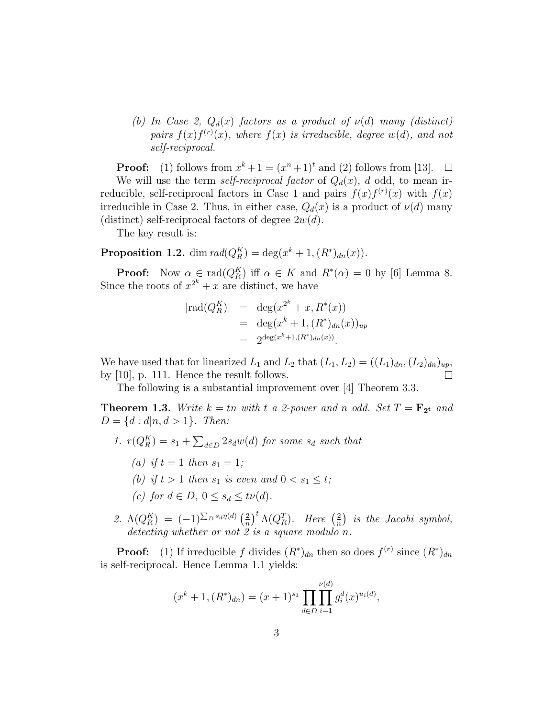(b) In Case 2,  $Q_d(x)$  factors as a product of  $\nu(d)$  many (distinct) pairs  $f(x)f^{(r)}(x)$ , where  $f(x)$  is irreducible, degree  $w(d)$ , and not self-reciprocal.

**Proof:** (1) follows from  $x^k + 1 = (x^n + 1)^t$  and (2) follows from [13]. We will use the term self-reciprocal factor of  $Q_d(x)$ , d odd, to mean irreducible, self-reciprocal factors in Case 1 and pairs  $f(x)f^{(r)}(x)$  with  $f(x)$ irreducible in Case 2. Thus, in either case,  $Q_d(x)$  is a product of  $\nu(d)$  many (distinct) self-reciprocal factors of degree  $2w(d)$ .

The key result is:

**Proposition 1.2.** dim  $\text{rad}(Q_R^K) = \text{deg}(x^k + 1, (R^*)_{dn}(x)).$ 

**Proof:** Now  $\alpha \in \text{rad}(Q_R^K)$  iff  $\alpha \in K$  and  $R^*(\alpha) = 0$  by [6] Lemma 8. Since the roots of  $x^{2^k} + x$  are distinct, we have

$$
| \text{rad}(Q_R^K) | = \deg(x^{2^k} + x, R^*(x))
$$
  
= 
$$
\deg(x^k + 1, (R^*)_{dn}(x))_{up}
$$
  
= 
$$
2^{\deg(x^k + 1, (R^*)_{dn}(x))}.
$$

We have used that for linearized  $L_1$  and  $L_2$  that  $(L_1, L_2) = ((L_1)<sub>dn</sub>, (L_2)<sub>dn</sub>)<sub>up</sub>$ , by [10], p. 111. Hence the result follows.

The following is a substantial improvement over [4] Theorem 3.3.

**Theorem 1.3.** Write  $k = tn$  with t a 2-power and n odd. Set  $T = \mathbf{F_{2t}}$  and  $D = \{d : d | n, d > 1\}.$  Then:

- 1.  $r(Q_R^K) = s_1 +$  $\overline{ }$  $_{d\in D}$   $2s_dw(d)$  for some  $s_d$  such that
	- (a) if  $t = 1$  then  $s_1 = 1$ ;
	- (b) if  $t > 1$  then  $s_1$  is even and  $0 < s_1 \le t$ ;
	- (c) for  $d \in D$ ,  $0 \leq s_d \leq t\nu(d)$ .
- 2.  $\Lambda(Q_R^K) = (-1)^{\sum_D s_d \eta(d)} \left(\frac{2}{n}\right)$ n  $\int^t \Lambda(Q_R^T)$ . Here  $\left(\frac{2}{n}\right)$ n ¢ is the Jacobi symbol, detecting whether or not 2 is a square modulo n.

**Proof:** (1) If irreducible f divides  $(R^*)_{dn}$  then so does  $f^{(r)}$  since  $(R^*)_{dn}$ is self-reciprocal. Hence Lemma 1.1 yields:

$$
(x^{k} + 1, (R^{*})_{dn}) = (x + 1)^{s_1} \prod_{d \in D} \prod_{i=1}^{\nu(d)} g_i^d(x)^{u_i(d)},
$$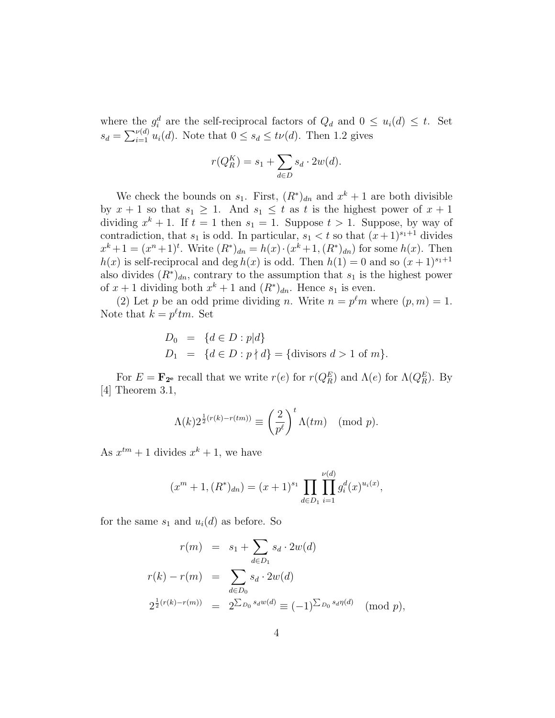where the  $g_i^d$  are the self-reciprocal factors of  $Q_d$  and  $0 \leq u_i(d) \leq t$ . Set where the<br> $s_d = \sum_{i=1}^{\nu(d)}$  $\frac{\nu(a)}{i=1} u_i(d)$ . Note that  $0 \le s_d \le t\nu(d)$ . Then 1.2 gives

$$
r(Q_R^K) = s_1 + \sum_{d \in D} s_d \cdot 2w(d).
$$

We check the bounds on  $s_1$ . First,  $(R^*)_{dn}$  and  $x^k + 1$  are both divisible by  $x + 1$  so that  $s_1 \geq 1$ . And  $s_1 \leq t$  as t is the highest power of  $x + 1$ dividing  $x^k + 1$ . If  $t = 1$  then  $s_1 = 1$ . Suppose  $t > 1$ . Suppose, by way of contradiction, that  $s_1$  is odd. In particular,  $s_1 < t$  so that  $(x+1)^{s_1+1}$  divides  $x^{k}+1=(x^{n}+1)^{t}$ . Write  $(R^{*})_{dn}=h(x)\cdot(x^{k}+1,(R^{*})_{dn})$  for some  $h(x)$ . Then  $h(x)$  is self-reciprocal and deg  $h(x)$  is odd. Then  $h(1) = 0$  and so  $(x + 1)^{s_1+1}$ also divides  $(R^*)_{dn}$ , contrary to the assumption that  $s_1$  is the highest power of  $x + 1$  dividing both  $x^k + 1$  and  $(R^*)_{dn}$ . Hence  $s_1$  is even.

(2) Let p be an odd prime dividing n. Write  $n = p^{\ell}m$  where  $(p, m) = 1$ . Note that  $k = p^{\ell} t m$ . Set

$$
D_0 = \{d \in D : p | d\}
$$
  

$$
D_1 = \{d \in D : p \nmid d\} = \{\text{divisors } d > 1 \text{ of } m\}.
$$

For  $E = \mathbf{F}_{2^e}$  recall that we write  $r(e)$  for  $r(Q_R^E)$  and  $\Lambda(e)$  for  $\Lambda(Q_R^E)$ . By [4] Theorem 3.1,

$$
\Lambda(k)2^{\frac{1}{2}(r(k)-r(tm))} \equiv \left(\frac{2}{p^{\ell}}\right)^{t} \Lambda(tm) \pmod{p}.
$$

As  $x^{tm} + 1$  divides  $x^{k} + 1$ , we have

$$
(xm + 1, (R*)dn) = (x + 1)s1 \prod_{d \in D_1} \prod_{i=1}^{\nu(d)} g_i^d(x)^{u_i(x)},
$$

for the same  $s_1$  and  $u_i(d)$  as before. So

$$
r(m) = s_1 + \sum_{d \in D_1} s_d \cdot 2w(d)
$$
  

$$
r(k) - r(m) = \sum_{d \in D_0} s_d \cdot 2w(d)
$$
  

$$
2^{\frac{1}{2}(r(k) - r(m))} = 2^{\sum_{D_0} s_d w(d)} \equiv (-1)^{\sum_{D_0} s_d \eta(d)} \pmod{p},
$$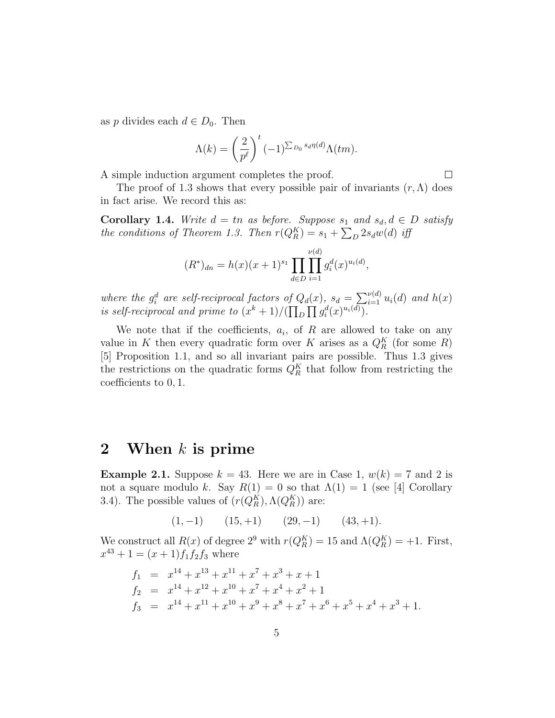as p divides each  $d \in D_0$ . Then

$$
\Lambda(k) = \left(\frac{2}{p^{\ell}}\right)^t (-1)^{\sum_{D_0} s_d \eta(d)} \Lambda(tm).
$$

A simple induction argument completes the proof.

$$
\qquad \qquad \Box
$$

The proof of 1.3 shows that every possible pair of invariants  $(r, \Lambda)$  does in fact arise. We record this as:

**Corollary 1.4.** Write  $d = tn$  as before. Suppose  $s_1$  and  $s_d, d \in D$  satisfy the conditions of Theorem 1.3. Then  $r(Q_R^K) = s_1 + \sum_D 2s_dw(d)$  iff

$$
(R^*)_{dn} = h(x)(x+1)^{s_1} \prod_{d \in D} \prod_{i=1}^{\nu(d)} g_i^d(x)^{u_i(d)},
$$

where the  $g_i^d$  are self-reciprocal factors of  $Q_d(x)$ ,  $s_d =$  $\nabla$  $\nu$ (d)  $\prod_{i=1}^{\nu(d)} u_i(d)$  and  $h(x)$ where the  $g_i$  are set-rectprocal jactors by  $\alpha$ <br>is self-reciprocal and prime to  $(x^k + 1)/\sqrt{11}$ D  $\frac{l}{l}$  $g_i^d(x)^{u_i(d)}$ .

We note that if the coefficients,  $a_i$ , of R are allowed to take on any value in K then every quadratic form over K arises as a  $Q_R^K$  (for some R) [5] Proposition 1.1, and so all invariant pairs are possible. Thus 1.3 gives the restrictions on the quadratic forms  $Q_R^K$  that follow from restricting the coefficients to 0, 1.

### 2 When  $k$  is prime

**Example 2.1.** Suppose  $k = 43$ . Here we are in Case 1,  $w(k) = 7$  and 2 is not a square modulo k. Say  $R(1) = 0$  so that  $\Lambda(1) = 1$  (see [4] Corollary 3.4). The possible values of  $(r(Q_R^K), \Lambda(Q_R^K))$  are:

$$
(1, -1) \qquad (15, +1) \qquad (29, -1) \qquad (43, +1).
$$

We construct all  $R(x)$  of degree  $2^9$  with  $r(Q_R^K) = 15$  and  $\Lambda(Q_R^K) = +1$ . First,  $x^{43} + 1 = (x+1)f_1f_2f_3$  where

$$
f_1 = x^{14} + x^{13} + x^{11} + x^7 + x^3 + x + 1
$$
  
\n
$$
f_2 = x^{14} + x^{12} + x^{10} + x^7 + x^4 + x^2 + 1
$$
  
\n
$$
f_3 = x^{14} + x^{11} + x^{10} + x^9 + x^8 + x^7 + x^6 + x^5 + x^4 + x^3 + 1.
$$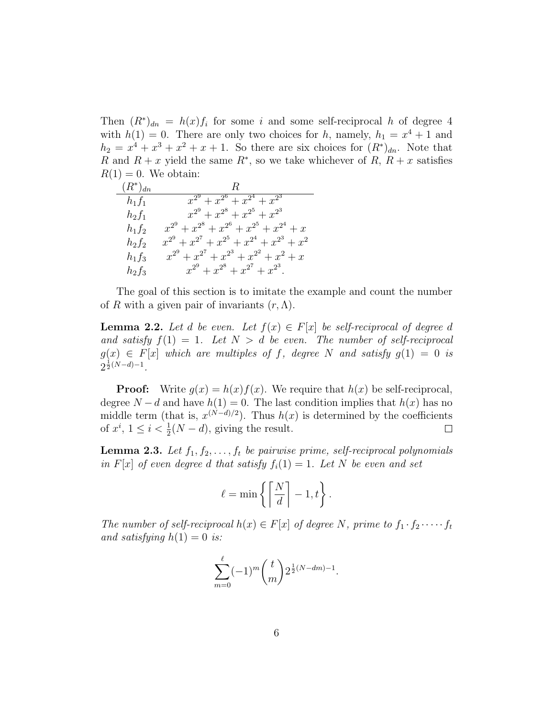Then  $(R^*)_{dn} = h(x)f_i$  for some i and some self-reciprocal h of degree 4 with  $h(1) = 0$ . There are only two choices for h, namely,  $h_1 = x^4 + 1$  and  $h_2 = x^4 + x^3 + x^2 + x + 1$ . So there are six choices for  $(R^*)_{dn}$ . Note that R and  $R + x$  yield the same  $R^*$ , so we take whichever of R,  $R + x$  satisfies  $R(1) = 0$ . We obtain:

| $(R^*)_{dn}$ | R.                                                      |
|--------------|---------------------------------------------------------|
| $h_1f_1$     | $x^{2^9}+x^{2^6}+x^{2^4}+x^{2^3}$                       |
| $h_2f_1$     | $x^{2^9}+x^{2^8}+x^{2^5}+x^{2^3}$                       |
| $h_1f_2$     | $x^{2^9} + x^{2^8} + x^{2^6} + x^{2^5} + x^{2^4} + x$   |
| $h_2f_2$     | $x^{2^9} + x^{2^7} + x^{2^5} + x^{2^4} + x^{2^3} + x^2$ |
| $h_1f_3$     | $x^{2^9} + x^{2^7} + x^{2^3} + x^{2^2} + x^2 + x$       |
| $h_2f_3$     | $x^{2^9} + x^{2^8} + x^{2^7} + x^{2^3}.$                |

The goal of this section is to imitate the example and count the number of R with a given pair of invariants  $(r, \Lambda)$ .

**Lemma 2.2.** Let d be even. Let  $f(x) \in F[x]$  be self-reciprocal of degree d and satisfy  $f(1) = 1$ . Let  $N > d$  be even. The number of self-reciprocal  $g(x) \in F[x]$  which are multiples of f, degree N and satisfy  $g(1) = 0$  is  $2^{\frac{1}{2}(N-d)-1}$ .

**Proof:** Write  $g(x) = h(x)f(x)$ . We require that  $h(x)$  be self-reciprocal, degree  $N - d$  and have  $h(1) = 0$ . The last condition implies that  $h(x)$  has no middle term (that is,  $x^{(N-d)/2}$ ). Thus  $h(x)$  is determined by the coefficients of  $x^i$ ,  $1 \leq i < \frac{1}{2}(N-d)$ , giving the result.  $\Box$ 

**Lemma 2.3.** Let  $f_1, f_2, \ldots, f_t$  be pairwise prime, self-reciprocal polynomials in  $F[x]$  of even degree d that satisfy  $f_i(1) = 1$ . Let N be even and set

$$
\ell = \min \left\{ \left\lceil \frac{N}{d} \right\rceil - 1, t \right\}.
$$

The number of self-reciprocal  $h(x) \in F[x]$  of degree N, prime to  $f_1 \cdot f_2 \cdot \cdots \cdot f_t$ and satisfying  $h(1) = 0$  is:

$$
\sum_{m=0}^{\ell}(-1)^m\binom{t}{m}2^{\frac{1}{2}(N-dm)-1}.
$$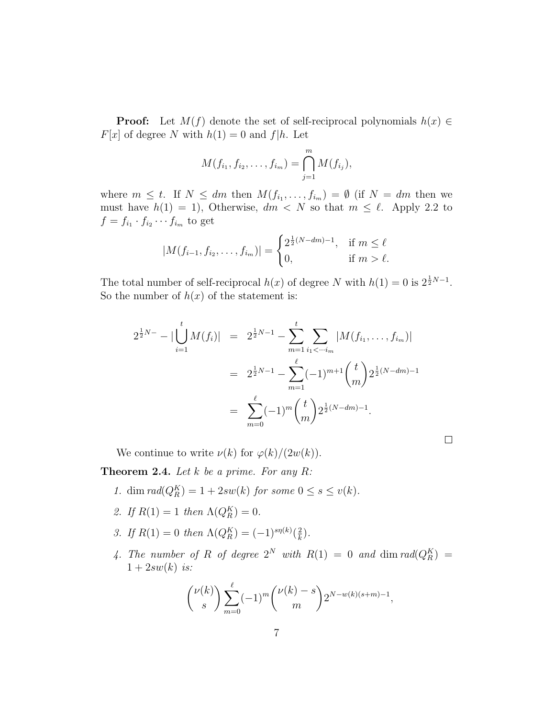**Proof:** Let  $M(f)$  denote the set of self-reciprocal polynomials  $h(x) \in$  $F[x]$  of degree N with  $h(1) = 0$  and  $f|h$ . Let

$$
M(f_{i_1}, f_{i_2}, \ldots, f_{i_m}) = \bigcap_{j=1}^m M(f_{i_j}),
$$

where  $m \leq t$ . If  $N \leq dm$  then  $M(f_{i_1},...,f_{i_m}) = \emptyset$  (if  $N = dm$  then we must have  $h(1) = 1$ , Otherwise,  $dm < N$  so that  $m \leq \ell$ . Apply 2.2 to  $f = f_{i_1} \cdot f_{i_2} \cdots f_{i_m}$  to get

$$
|M(f_{i-1}, f_{i_2}, \dots, f_{i_m})| = \begin{cases} 2^{\frac{1}{2}(N - dm) - 1}, & \text{if } m \le \ell \\ 0, & \text{if } m > \ell. \end{cases}
$$

The total number of self-reciprocal  $h(x)$  of degree N with  $h(1) = 0$  is  $2^{\frac{1}{2}N-1}$ . So the number of  $h(x)$  of the statement is:

$$
2^{\frac{1}{2}N-} - |\bigcup_{i=1}^{t} M(f_i)| = 2^{\frac{1}{2}N-1} - \sum_{m=1}^{t} \sum_{i_1 < \dots < i_m} |M(f_{i_1}, \dots, f_{i_m})|
$$
  

$$
= 2^{\frac{1}{2}N-1} - \sum_{m=1}^{\ell} (-1)^{m+1} {t \choose m} 2^{\frac{1}{2}(N-dm)-1}
$$
  

$$
= \sum_{m=0}^{\ell} (-1)^m {t \choose m} 2^{\frac{1}{2}(N-dm)-1}.
$$

 $\Box$ 

We continue to write  $\nu(k)$  for  $\varphi(k)/(2w(k))$ .

**Theorem 2.4.** Let  $k$  be a prime. For any  $R$ :

- 1. dim  $rad(Q_R^K) = 1 + 2sw(k)$  for some  $0 \leq s \leq v(k)$ .
- 2. If  $R(1) = 1$  then  $\Lambda(Q_R^K) = 0$ .
- 3. If  $R(1) = 0$  then  $\Lambda(Q_R^K) = (-1)^{s\eta(k)}(\frac{2}{k})$  $\frac{2}{k}$ .
- 4. The number of R of degree  $2^N$  with  $R(1) = 0$  and  $\dim rad(Q_R^K) =$  $1+2sw(k)$  is:

$$
{\nu(k) \choose s} \sum_{m=0}^{\ell} (-1)^m {\nu(k) - s \choose m} 2^{N - w(k)(s+m) - 1},
$$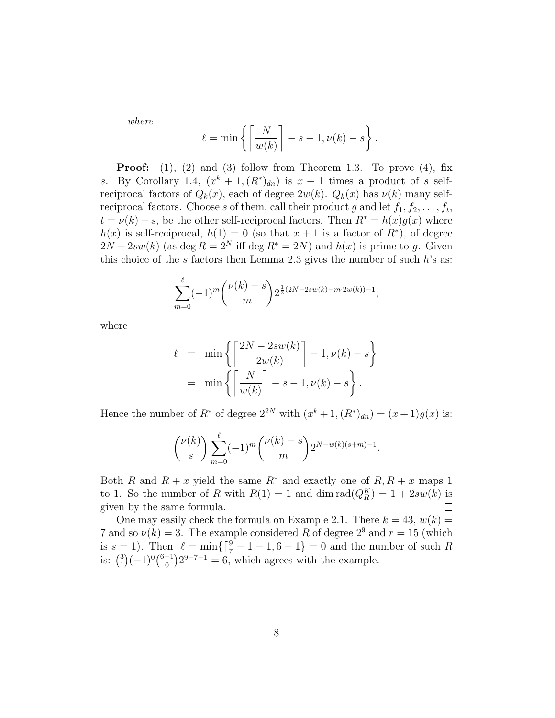where

$$
\ell = \min \left\{ \left\lceil \frac{N}{w(k)} \right\rceil - s - 1, \nu(k) - s \right\}.
$$

**Proof:** (1), (2) and (3) follow from Theorem 1.3. To prove (4), fix s. By Corollary 1.4,  $(x^k + 1, (R^*)_{dn})$  is  $x + 1$  times a product of s selfreciprocal factors of  $Q_k(x)$ , each of degree  $2w(k)$ .  $Q_k(x)$  has  $\nu(k)$  many selfreciprocal factors. Choose s of them, call their product g and let  $f_1, f_2, \ldots, f_t$ ,  $t = \nu(k) - s$ , be the other self-reciprocal factors. Then  $R^* = h(x)g(x)$  where  $h(x)$  is self-reciprocal,  $h(1) = 0$  (so that  $x + 1$  is a factor of  $R^*$ ), of degree  $2N - 2sw(k)$  (as deg  $R = 2^N$  iff deg  $R^* = 2N$ ) and  $h(x)$  is prime to g. Given this choice of the s factors then Lemma 2.3 gives the number of such  $h$ 's as:

$$
\sum_{m=0}^{\ell}(-1)^m {\binom{\nu(k)-s}{m}} 2^{\frac{1}{2}(2N-2sw(k)-m\cdot 2w(k))-1},
$$

where

$$
\ell = \min \left\{ \left\lceil \frac{2N - 2sw(k)}{2w(k)} \right\rceil - 1, \nu(k) - s \right\}
$$

$$
= \min \left\{ \left\lceil \frac{N}{w(k)} \right\rceil - s - 1, \nu(k) - s \right\}.
$$

Hence the number of  $R^*$  of degree  $2^{2N}$  with  $(x^k + 1, (R^*)_{dn}) = (x+1)g(x)$  is:

$$
{\nu(k) \choose s} \sum_{m=0}^{\ell} (-1)^m {\nu(k) - s \choose m} 2^{N - w(k)(s+m) - 1}.
$$

Both R and  $R + x$  yield the same  $R^*$  and exactly one of  $R, R + x$  maps 1 to 1. So the number of R with  $R(1) = 1$  and  $\dim \operatorname{rad}(Q_R^K) = 1 + 2sw(k)$  is given by the same formula.  $\Box$ 

One may easily check the formula on Example 2.1. There  $k = 43, w(k) =$ 7 and so  $\nu(k) = 3$ . The example considered R of degree 2<sup>9</sup> and  $r = 15$  (which is  $s = 1$ ). Then  $\ell = \min\{\lceil \frac{9}{7} - 1 - 1, 6 - 1\} = 0$  and the number of such R<br>is:  $\binom{3}{1}(-1)^0\binom{6-1}{0}2^{9-7-1} = 6$ , which agrees with the example. 1 ¢  $(-1)^{0}$ нен<br>∕6−1 0 ¢  $2^{9-7-1} = 6$ , which agrees with the example.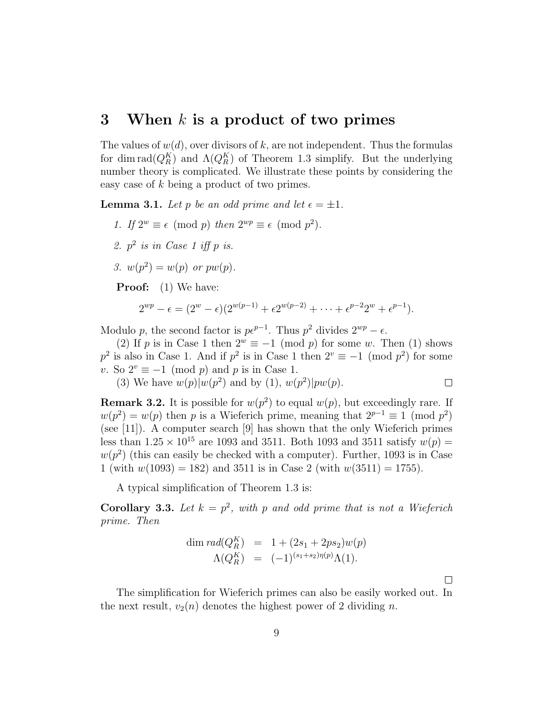#### 3 When  $k$  is a product of two primes

The values of  $w(d)$ , over divisors of k, are not independent. Thus the formulas for dim  $\text{rad}(Q_R^K)$  and  $\Lambda(Q_R^K)$  of Theorem 1.3 simplify. But the underlying number theory is complicated. We illustrate these points by considering the easy case of k being a product of two primes.

**Lemma 3.1.** Let p be an odd prime and let  $\epsilon = \pm 1$ .

- 1. If  $2^w \equiv \epsilon \pmod{p}$  then  $2^{wp} \equiv \epsilon \pmod{p^2}$ .
- 2.  $p^2$  is in Case 1 iff p is.
- 3.  $w(p^2) = w(p)$  or  $pw(p)$ .

**Proof:** (1) We have:

$$
2^{wp} - \epsilon = (2^{w} - \epsilon)(2^{w(p-1)} + \epsilon 2^{w(p-2)} + \cdots + \epsilon^{p-2}2^{w} + \epsilon^{p-1}).
$$

Modulo p, the second factor is  $pe^{p-1}$ . Thus  $p^2$  divides  $2^{wp} - \epsilon$ .

(2) If p is in Case 1 then  $2^w \equiv -1 \pmod{p}$  for some w. Then (1) shows  $p^2$  is also in Case 1. And if  $p^2$  is in Case 1 then  $2^v \equiv -1 \pmod{p^2}$  for some v. So  $2^v \equiv -1 \pmod{p}$  and p is in Case 1.

(3) We have  $w(p)|w(p^2)$  and by (1),  $w(p^2)|pw(p)$ .  $\Box$ 

**Remark 3.2.** It is possible for  $w(p^2)$  to equal  $w(p)$ , but exceedingly rare. If  $w(p^2) = w(p)$  then p is a Wieferich prime, meaning that  $2^{p-1} \equiv 1 \pmod{p^2}$ (see [11]). A computer search [9] has shown that the only Wieferich primes less than  $1.25 \times 10^{15}$  are 1093 and 3511. Both 1093 and 3511 satisfy  $w(p) =$  $w(p^2)$  (this can easily be checked with a computer). Further, 1093 is in Case 1 (with  $w(1093) = 182$ ) and 3511 is in Case 2 (with  $w(3511) = 1755$ ).

A typical simplification of Theorem 1.3 is:

**Corollary 3.3.** Let  $k = p^2$ , with p and odd prime that is not a Wieferich prime. Then

dim 
$$
rad(Q_R^K)
$$
 = 1 + (2s<sub>1</sub> + 2ps<sub>2</sub>)w(p)  
\n $\Lambda(Q_R^K)$  = (-1)<sup>(s<sub>1</sub>+s<sub>2</sub>)\eta(p)</sup> $\Lambda(1)$ .

 $\Box$ 

The simplification for Wieferich primes can also be easily worked out. In the next result,  $v_2(n)$  denotes the highest power of 2 dividing n.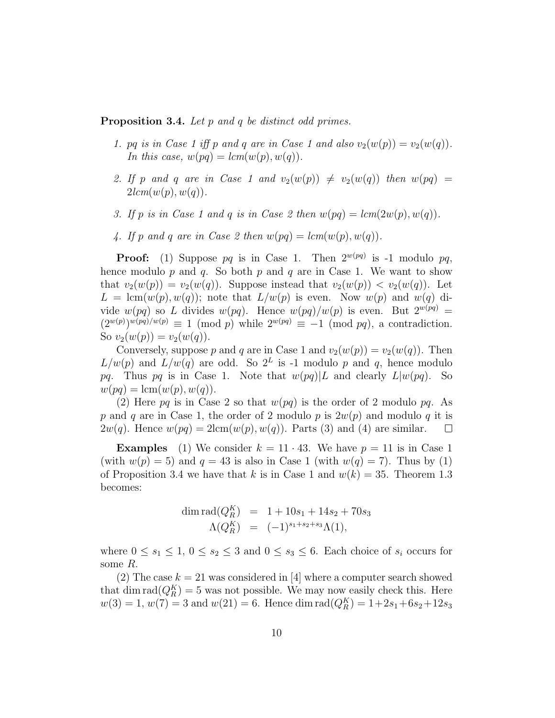Proposition 3.4. Let p and q be distinct odd primes.

- 1. pq is in Case 1 iff p and q are in Case 1 and also  $v_2(w(p)) = v_2(w(q))$ . In this case,  $w(pq) = lcm(w(p), w(q)).$
- 2. If p and q are in Case 1 and  $v_2(w(p)) \neq v_2(w(q))$  then  $w(pq) =$  $2lcm(w(p), w(q))$ .
- 3. If p is in Case 1 and q is in Case 2 then  $w(pq) = lcm(2w(p), w(q)).$
- 4. If p and q are in Case 2 then  $w(pq) = lcm(w(p), w(q)).$

**Proof:** (1) Suppose pq is in Case 1. Then  $2^{w(pq)}$  is -1 modulo pq, hence modulo  $p$  and  $q$ . So both  $p$  and  $q$  are in Case 1. We want to show that  $v_2(w(p)) = v_2(w(q))$ . Suppose instead that  $v_2(w(p)) < v_2(w(q))$ . Let  $L = \text{lcm}(w(p), w(q));$  note that  $L/w(p)$  is even. Now  $w(p)$  and  $w(q)$  divide  $w(pq)$  so L divides  $w(pq)$ . Hence  $w(pq)/w(p)$  is even. But  $2^{w(pq)} =$  $(2^{w(p)})^{w(pq)/w(p)} \equiv 1 \pmod{p}$  while  $2^{w(pq)} \equiv -1 \pmod{pq}$ , a contradiction. So  $v_2(w(p)) = v_2(w(q)).$ 

Conversely, suppose p and q are in Case 1 and  $v_2(w(p)) = v_2(w(q))$ . Then  $L/w(p)$  and  $L/w(q)$  are odd. So  $2^L$  is -1 modulo p and q, hence modulo pq. Thus pq is in Case 1. Note that  $w(pq)|L$  and clearly  $L|w(pq)$ . So  $w(pq) = \text{lcm}(w(p), w(q)).$ 

(2) Here pq is in Case 2 so that  $w(pq)$  is the order of 2 modulo pq. As p and q are in Case 1, the order of 2 modulo p is  $2w(p)$  and modulo q it is  $2w(q)$ . Hence  $w(pq) = 2 \text{lcm}(w(p), w(q))$ . Parts (3) and (4) are similar.  $\Box$ 

**Examples** (1) We consider  $k = 11 \cdot 43$ . We have  $p = 11$  is in Case 1 (with  $w(p) = 5$ ) and  $q = 43$  is also in Case 1 (with  $w(q) = 7$ ). Thus by (1) of Proposition 3.4 we have that k is in Case 1 and  $w(k) = 35$ . Theorem 1.3 becomes:

$$
\dim \operatorname{rad}(Q_R^K) = 1 + 10s_1 + 14s_2 + 70s_3
$$
  

$$
\Lambda(Q_R^K) = (-1)^{s_1 + s_2 + s_3} \Lambda(1),
$$

where  $0 \leq s_1 \leq 1, 0 \leq s_2 \leq 3$  and  $0 \leq s_3 \leq 6$ . Each choice of  $s_i$  occurs for some R.

(2) The case  $k = 21$  was considered in [4] where a computer search showed that dim  $\text{rad}(Q_R^K) = 5$  was not possible. We may now easily check this. Here  $w(3) = 1, w(7) = 3$  and  $w(21) = 6$ . Hence dim rad $(Q_R^K) = 1+2s_1+6s_2+12s_3$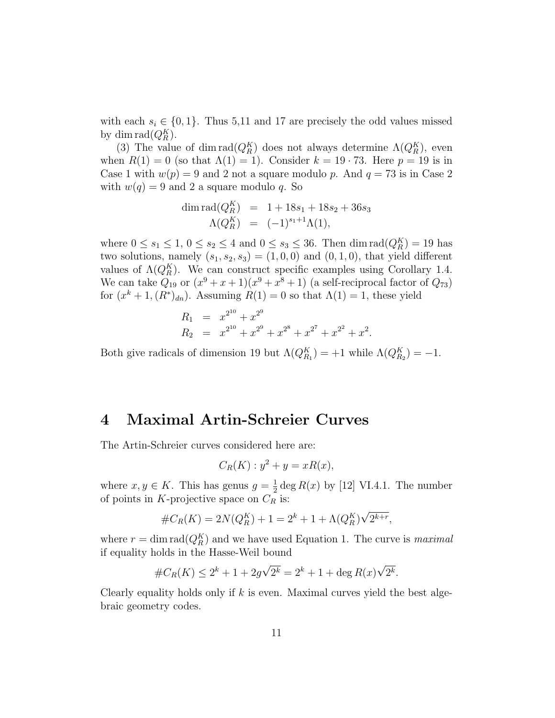with each  $s_i \in \{0,1\}$ . Thus 5,11 and 17 are precisely the odd values missed by dim  $\text{rad}(Q_R^K)$ .

(3) The value of  $\dim \text{rad}(Q_R^K)$  does not always determine  $\Lambda(Q_R^K)$ , even when  $R(1) = 0$  (so that  $\Lambda(1) = 1$ ). Consider  $k = 19 \cdot 73$ . Here  $p = 19$  is in Case 1 with  $w(p) = 9$  and 2 not a square modulo p. And  $q = 73$  is in Case 2 with  $w(q) = 9$  and 2 a square modulo q. So

$$
\dim \operatorname{rad}(Q_R^K) = 1 + 18s_1 + 18s_2 + 36s_3
$$
  

$$
\Lambda(Q_R^K) = (-1)^{s_1+1}\Lambda(1),
$$

where  $0 \le s_1 \le 1, 0 \le s_2 \le 4$  and  $0 \le s_3 \le 36$ . Then  $\dim \text{rad}(Q_R^K) = 19$  has two solutions, namely  $(s_1, s_2, s_3) = (1, 0, 0)$  and  $(0, 1, 0)$ , that yield different values of  $\Lambda(Q_R^K)$ . We can construct specific examples using Corollary 1.4. We can take  $Q_{19}$  or  $(x^9 + x + 1)(x^9 + x^8 + 1)$  (a self-reciprocal factor of  $Q_{73}$ ) for  $(x^k + 1, (R^*)_{dn})$ . Assuming  $R(1) = 0$  so that  $\Lambda(1) = 1$ , these yield

$$
R_1 = x^{2^{10}} + x^{2^9}
$$
  
\n
$$
R_2 = x^{2^{10}} + x^{2^9} + x^{2^8} + x^{2^7} + x^{2^2} + x^2.
$$

Both give radicals of dimension 19 but  $\Lambda(Q_{R_1}^K) = +1$  while  $\Lambda(Q_{R_2}^K) = -1$ .

#### 4 Maximal Artin-Schreier Curves

The Artin-Schreier curves considered here are:

$$
C_R(K): y^2 + y = xR(x),
$$

where  $x, y \in K$ . This has genus  $g = \frac{1}{2}$  $\frac{1}{2}$  deg  $R(x)$  by [12] VI.4.1. The number of points in K-projective space on  $C_R$  is:

$$
#C_R(K) = 2N(Q_R^K) + 1 = 2^k + 1 + \Lambda(Q_R^K)\sqrt{2^{k+r}},
$$

where  $r = \dim \text{rad}(Q_R^K)$  and we have used Equation 1. The curve is *maximal* if equality holds in the Hasse-Weil bound

$$
#C_R(K) \le 2^k + 1 + 2g\sqrt{2^k} = 2^k + 1 + \deg R(x)\sqrt{2^k}.
$$

Clearly equality holds only if  $k$  is even. Maximal curves yield the best algebraic geometry codes.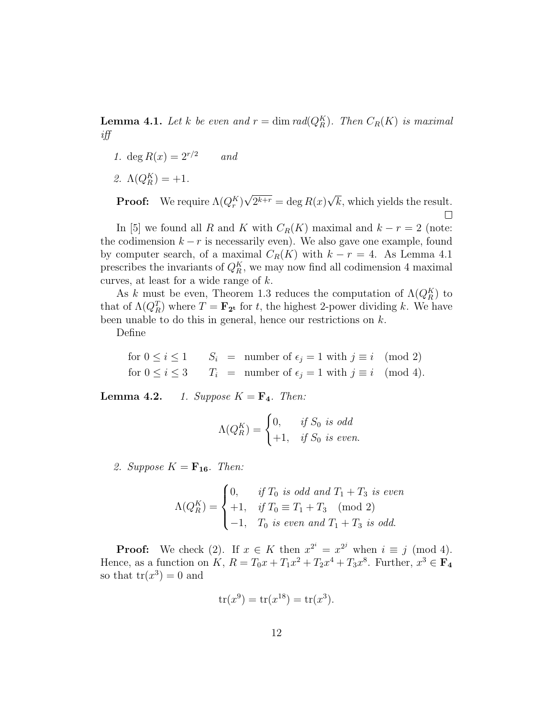**Lemma 4.1.** Let k be even and  $r = \dim rad(Q_R^K)$ . Then  $C_R(K)$  is maximal iff

- 1. deg  $R(x) = 2^{r/2}$  and
- 2.  $\Lambda(Q_R^K) = +1.$

√ √ **Proof:** We require  $\Lambda(Q_r^K)$  $2^{k+r} = \deg R(x)$  $k$ , which yields the result.  $\Box$ 

In [5] we found all R and K with  $C_R(K)$  maximal and  $k - r = 2$  (note: the codimension  $k - r$  is necessarily even). We also gave one example, found by computer search, of a maximal  $C_R(K)$  with  $k - r = 4$ . As Lemma 4.1 prescribes the invariants of  $Q_R^K$ , we may now find all codimension 4 maximal curves, at least for a wide range of k.

As k must be even, Theorem 1.3 reduces the computation of  $\Lambda(Q_R^K)$  to that of  $\Lambda(Q_R^T)$  where  $T = \mathbf{F}_{2^t}$  for t, the highest 2-power dividing k. We have been unable to do this in general, hence our restrictions on  $k$ .

Define

for  $0 \le i \le 1$   $S_i = \text{number of } \epsilon_j = 1 \text{ with } j \equiv i \pmod{2}$ for  $0 \le i \le 3$   $T_i$  = number of  $\epsilon_j = 1$  with  $j \equiv i \pmod{4}$ .

**Lemma 4.2.** 1. Suppose  $K = \mathbf{F}_4$ . Then:

$$
\Lambda(Q_R^K) = \begin{cases} 0, & \text{if } S_0 \text{ is odd} \\ +1, & \text{if } S_0 \text{ is even.} \end{cases}
$$

2. Suppose  $K = \mathbf{F_{16}}$ . Then:

$$
\Lambda(Q_R^K) = \begin{cases} 0, & \text{if } T_0 \text{ is odd and } T_1 + T_3 \text{ is even} \\ +1, & \text{if } T_0 \equiv T_1 + T_3 \pmod{2} \\ -1, & T_0 \text{ is even and } T_1 + T_3 \text{ is odd.} \end{cases}
$$

**Proof:** We check (2). If  $x \in K$  then  $x^{2^i} = x^{2^j}$  when  $i \equiv j \pmod{4}$ . Hence, as a function on K,  $R = T_0x + T_1x^2 + T_2x^4 + T_3x^8$ . Further,  $x^3 \in \mathbf{F}_4$ so that  $tr(x^3) = 0$  and

$$
tr(x^9) = tr(x^{18}) = tr(x^3).
$$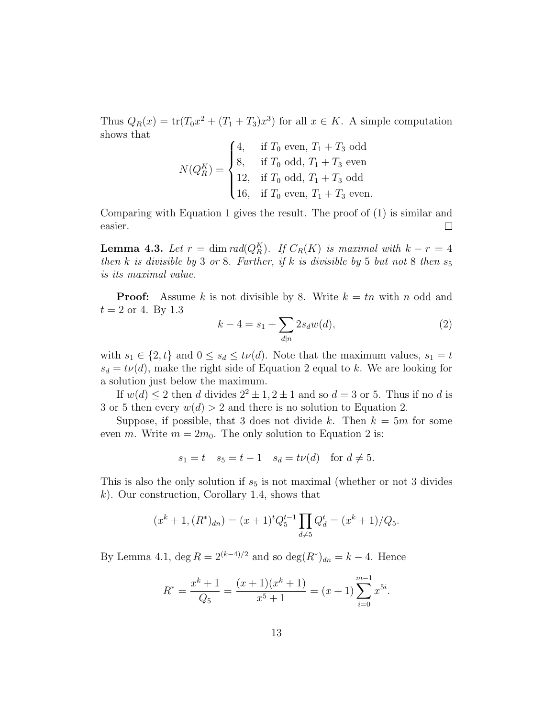Thus  $Q_R(x) = \text{tr}(T_0 x^2 + (T_1 + T_3)x^3)$  for all  $x \in K$ . A simple computation shows that  $\mathbf{z}$ 

$$
N(Q_R^K) = \begin{cases} 4, & \text{if } T_0 \text{ even, } T_1 + T_3 \text{ odd} \\ 8, & \text{if } T_0 \text{ odd, } T_1 + T_3 \text{ even} \\ 12, & \text{if } T_0 \text{ odd, } T_1 + T_3 \text{ odd} \\ 16, & \text{if } T_0 \text{ even, } T_1 + T_3 \text{ even.} \end{cases}
$$

Comparing with Equation 1 gives the result. The proof of (1) is similar and easier.  $\Box$ 

**Lemma 4.3.** Let  $r = \dim rad(Q_R^K)$ . If  $C_R(K)$  is maximal with  $k - r = 4$ then k is divisible by 3 or 8. Further, if k is divisible by 5 but not 8 then  $s_5$ is its maximal value.

**Proof:** Assume k is not divisible by 8. Write  $k = tn$  with n odd and  $t = 2$  or 4. By 1.3  $\overline{\phantom{a}}$ 

$$
k - 4 = s_1 + \sum_{d|n} 2s_d w(d),
$$
\n(2)

with  $s_1 \in \{2, t\}$  and  $0 \le s_d \le t\nu(d)$ . Note that the maximum values,  $s_1 = t$  $s_d = t\nu(d)$ , make the right side of Equation 2 equal to k. We are looking for a solution just below the maximum.

If  $w(d) \leq 2$  then d divides  $2^2 \pm 1$ ,  $2 \pm 1$  and so  $d = 3$  or 5. Thus if no d is 3 or 5 then every  $w(d) > 2$  and there is no solution to Equation 2.

Suppose, if possible, that 3 does not divide k. Then  $k = 5m$  for some even m. Write  $m = 2m_0$ . The only solution to Equation 2 is:

$$
s_1 = t
$$
  $s_5 = t - 1$   $s_d = t\nu(d)$  for  $d \neq 5$ .

This is also the only solution if  $s<sub>5</sub>$  is not maximal (whether or not 3 divides k). Our construction, Corollary 1.4, shows that

$$
(x^{k} + 1, (R^{*})_{dn}) = (x+1)^{t} Q_{5}^{t-1} \prod_{d \neq 5} Q_{d}^{t} = (x^{k} + 1) / Q_{5}.
$$

By Lemma 4.1,  $\deg R = 2^{(k-4)/2}$  and so  $\deg(R^*)_{dn} = k - 4$ . Hence

$$
R^* = \frac{x^k + 1}{Q_5} = \frac{(x+1)(x^k + 1)}{x^5 + 1} = (x+1) \sum_{i=0}^{m-1} x^{5i}.
$$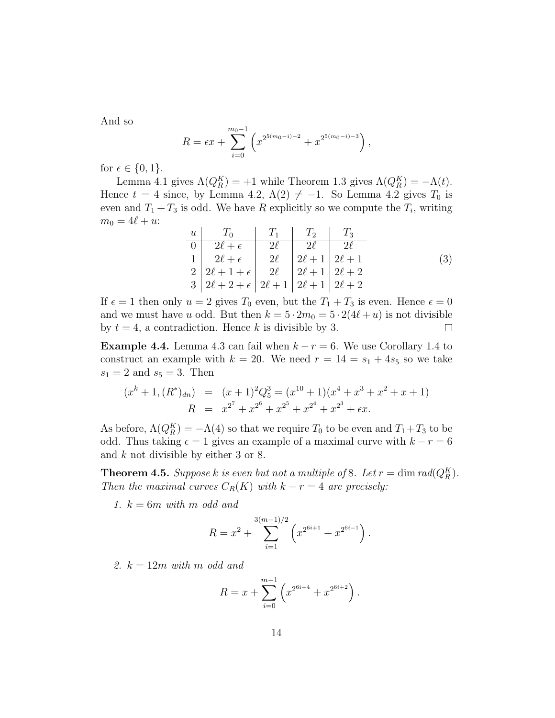And so

$$
R = \epsilon x + \sum_{i=0}^{m_0-1} \left( x^{2^{5(m_0-i)-2}} + x^{2^{5(m_0-i)-3}} \right),
$$

for  $\epsilon \in \{0,1\}.$ 

Lemma 4.1 gives  $\Lambda(Q_R^K) = +1$  while Theorem 1.3 gives  $\Lambda(Q_R^K) = -\Lambda(t)$ . Hence  $t = 4$  since, by Lemma 4.2,  $\Lambda(2) \neq -1$ . So Lemma 4.2 gives  $T_0$  is even and  $T_1 + T_3$  is odd. We have R explicitly so we compute the  $T_i$ , writing  $m_0 = 4\ell + u$ :

$$
\begin{array}{c|c|c|c|c|c} u & T_0 & T_1 & T_2 & T_3 \\ \hline 0 & 2\ell + \epsilon & 2\ell & 2\ell & 2\ell \\ 1 & 2\ell + \epsilon & 2\ell & 2\ell + 1 & 2\ell + 1 \\ 2 & 2\ell + 1 + \epsilon & 2\ell & 2\ell + 1 & 2\ell + 2 \\ 3 & 2\ell + 2 + \epsilon & 2\ell + 1 & 2\ell + 1 & 2\ell + 2 \end{array} \tag{3}
$$

If  $\epsilon = 1$  then only  $u = 2$  gives  $T_0$  even, but the  $T_1 + T_3$  is even. Hence  $\epsilon = 0$ and we must have u odd. But then  $k = 5 \cdot 2m_0 = 5 \cdot 2(4\ell + u)$  is not divisible by  $t = 4$ , a contradiction. Hence k is divisible by 3.  $\Box$ 

**Example 4.4.** Lemma 4.3 can fail when  $k - r = 6$ . We use Corollary 1.4 to construct an example with  $k = 20$ . We need  $r = 14 = s_1 + 4s_5$  so we take  $s_1 = 2$  and  $s_5 = 3$ . Then

$$
(x^{k} + 1, (R^{*})_{dn}) = (x+1)^{2}Q_{5}^{3} = (x^{10} + 1)(x^{4} + x^{3} + x^{2} + x + 1)
$$
  

$$
R = x^{2^{7}} + x^{2^{6}} + x^{2^{5}} + x^{2^{4}} + x^{2^{3}} + \epsilon x.
$$

As before,  $\Lambda(Q_R^K) = -\Lambda(4)$  so that we require  $T_0$  to be even and  $T_1 + T_3$  to be odd. Thus taking  $\epsilon = 1$  gives an example of a maximal curve with  $k - r = 6$ and k not divisible by either 3 or 8.

**Theorem 4.5.** Suppose k is even but not a multiple of 8. Let  $r = \dim rad(Q_R^K)$ . Then the maximal curves  $C_R(K)$  with  $k - r = 4$  are precisely:

1.  $k = 6m$  with m odd and

$$
R = x^{2} + \sum_{i=1}^{3(m-1)/2} \left( x^{2^{6i+1}} + x^{2^{6i-1}} \right).
$$

2.  $k = 12m$  with m odd and

$$
R = x + \sum_{i=0}^{m-1} \left( x^{2^{6i+4}} + x^{2^{6i+2}} \right).
$$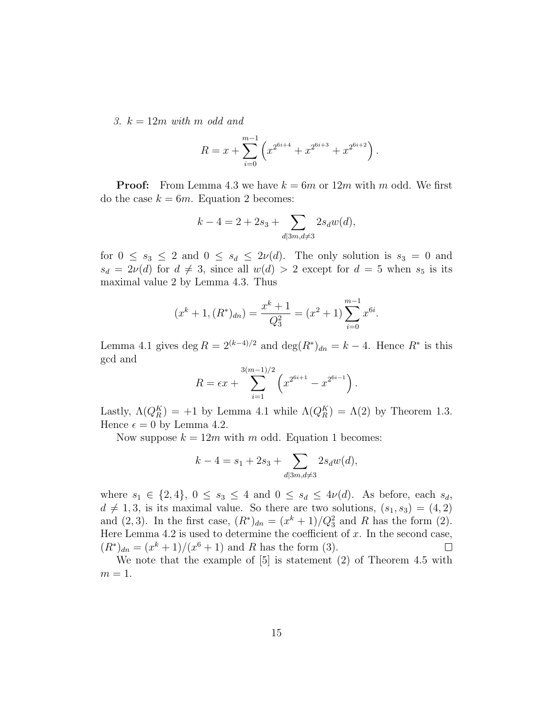3.  $k = 12m$  with m odd and

$$
R = x + \sum_{i=0}^{m-1} \left( x^{2^{6i+4}} + x^{2^{6i+3}} + x^{2^{6i+2}} \right).
$$

**Proof:** From Lemma 4.3 we have  $k = 6m$  or  $12m$  with m odd. We first do the case  $k = 6m$ . Equation 2 becomes:

$$
k - 4 = 2 + 2s_3 + \sum_{d \mid 3m, d \neq 3} 2s_d w(d),
$$

for  $0 \leq s_3 \leq 2$  and  $0 \leq s_d \leq 2\nu(d)$ . The only solution is  $s_3 = 0$  and  $s_d = 2\nu(d)$  for  $d \neq 3$ , since all  $w(d) > 2$  except for  $d = 5$  when  $s_5$  is its maximal value 2 by Lemma 4.3. Thus

$$
(x^{k} + 1, (R^{*})_{dn}) = \frac{x^{k} + 1}{Q_{3}^{2}} = (x^{2} + 1) \sum_{i=0}^{m-1} x^{6i}.
$$

Lemma 4.1 gives deg  $R = 2^{(k-4)/2}$  and  $\deg(R^*)_{dn} = k - 4$ . Hence  $R^*$  is this gcd and

$$
R = \epsilon x + \sum_{i=1}^{3(m-1)/2} \left( x^{2^{6i+1}} - x^{2^{6i-1}} \right).
$$

Lastly,  $\Lambda(Q_R^K) = +1$  by Lemma 4.1 while  $\Lambda(Q_R^K) = \Lambda(2)$  by Theorem 1.3. Hence  $\epsilon = 0$  by Lemma 4.2.

Now suppose  $k = 12m$  with m odd. Equation 1 becomes:

$$
k - 4 = s_1 + 2s_3 + \sum_{d \mid 3m, d \neq 3} 2s_d w(d),
$$

where  $s_1 \in \{2,4\}$ ,  $0 \leq s_3 \leq 4$  and  $0 \leq s_d \leq 4\nu(d)$ . As before, each  $s_d$ ,  $d \neq 1, 3$ , is its maximal value. So there are two solutions,  $(s_1, s_3) = (4, 2)$ and (2,3). In the first case,  $(R^*)_{dn} = (x^k + 1)/Q_3^2$  and R has the form (2). Here Lemma 4.2 is used to determine the coefficient of  $x$ . In the second case,  $(R^*)_{dn} = (x^k + 1)/(x^6 + 1)$  and R has the form (3).  $\Box$ 

We note that the example of [5] is statement (2) of Theorem 4.5 with  $m = 1$ .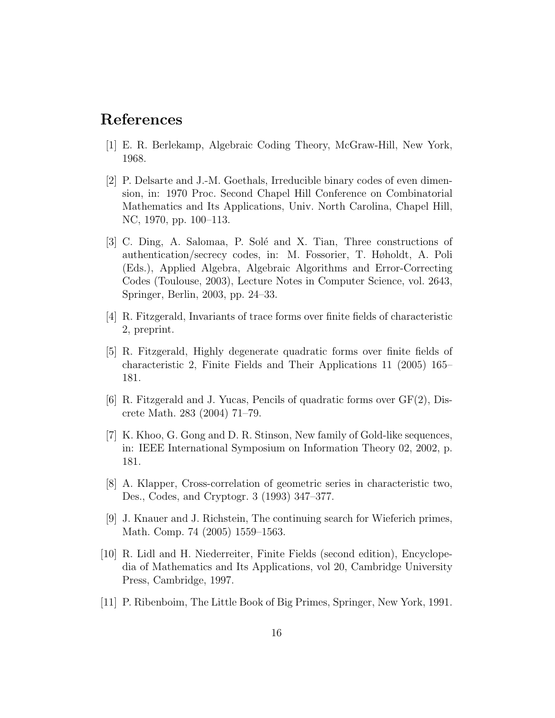### References

- [1] E. R. Berlekamp, Algebraic Coding Theory, McGraw-Hill, New York, 1968.
- [2] P. Delsarte and J.-M. Goethals, Irreducible binary codes of even dimension, in: 1970 Proc. Second Chapel Hill Conference on Combinatorial Mathematics and Its Applications, Univ. North Carolina, Chapel Hill, NC, 1970, pp. 100–113.
- [3] C. Ding, A. Salomaa, P. Solé and X. Tian, Three constructions of authentication/secrecy codes, in: M. Fossorier, T. Høholdt, A. Poli (Eds.), Applied Algebra, Algebraic Algorithms and Error-Correcting Codes (Toulouse, 2003), Lecture Notes in Computer Science, vol. 2643, Springer, Berlin, 2003, pp. 24–33.
- [4] R. Fitzgerald, Invariants of trace forms over finite fields of characteristic 2, preprint.
- [5] R. Fitzgerald, Highly degenerate quadratic forms over finite fields of characteristic 2, Finite Fields and Their Applications 11 (2005) 165– 181.
- [6] R. Fitzgerald and J. Yucas, Pencils of quadratic forms over GF(2), Discrete Math. 283 (2004) 71–79.
- [7] K. Khoo, G. Gong and D. R. Stinson, New family of Gold-like sequences, in: IEEE International Symposium on Information Theory 02, 2002, p. 181.
- [8] A. Klapper, Cross-correlation of geometric series in characteristic two, Des., Codes, and Cryptogr. 3 (1993) 347–377.
- [9] J. Knauer and J. Richstein, The continuing search for Wieferich primes, Math. Comp. 74 (2005) 1559–1563.
- [10] R. Lidl and H. Niederreiter, Finite Fields (second edition), Encyclopedia of Mathematics and Its Applications, vol 20, Cambridge University Press, Cambridge, 1997.
- [11] P. Ribenboim, The Little Book of Big Primes, Springer, New York, 1991.